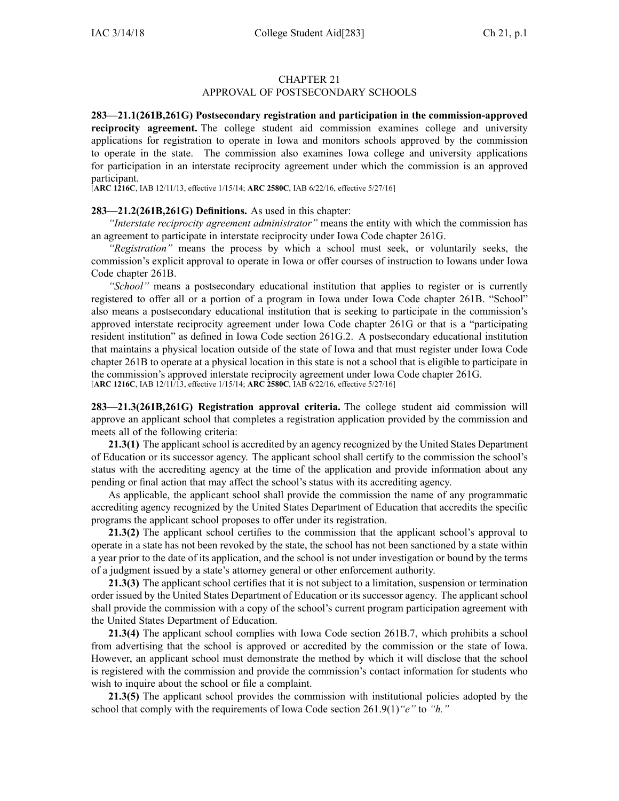#### CHAPTER 21

### APPROVAL OF POSTSECONDARY SCHOOLS

**283—21.1(261B,261G) Postsecondary registration and participation in the commission-approved reciprocity agreement.** The college student aid commission examines college and university applications for registration to operate in Iowa and monitors schools approved by the commission to operate in the state. The commission also examines Iowa college and university applications for participation in an interstate reciprocity agreemen<sup>t</sup> under which the commission is an approved participant.

[**ARC [1216C](https://www.legis.iowa.gov/docs/aco/arc/1216C.pdf)**, IAB 12/11/13, effective 1/15/14; **ARC [2580C](https://www.legis.iowa.gov/docs/aco/arc/2580C.pdf)**, IAB 6/22/16, effective 5/27/16]

#### **283—21.2(261B,261G) Definitions.** As used in this chapter:

*"Interstate reciprocity agreemen<sup>t</sup> administrator"* means the entity with which the commission has an agreemen<sup>t</sup> to participate in interstate reciprocity under Iowa Code chapter [261G](https://www.legis.iowa.gov/docs/ico/chapter/261G.pdf).

*"Registration"* means the process by which <sup>a</sup> school must seek, or voluntarily seeks, the commission's explicit approval to operate in Iowa or offer courses of instruction to Iowans under Iowa Code chapter [261B](https://www.legis.iowa.gov/docs/ico/chapter/261B.pdf).

*"School"* means <sup>a</sup> postsecondary educational institution that applies to register or is currently registered to offer all or <sup>a</sup> portion of <sup>a</sup> program in Iowa under Iowa Code chapter [261B](https://www.legis.iowa.gov/docs/ico/chapter/261B.pdf). "School" also means <sup>a</sup> postsecondary educational institution that is seeking to participate in the commission's approved interstate reciprocity agreemen<sup>t</sup> under Iowa Code chapter [261G](https://www.legis.iowa.gov/docs/ico/chapter/261G.pdf) or that is <sup>a</sup> "participating resident institution" as defined in Iowa Code section [261G.2](https://www.legis.iowa.gov/docs/ico/section/261G.2.pdf). A postsecondary educational institution that maintains <sup>a</sup> physical location outside of the state of Iowa and that must register under Iowa Code chapter [261B](https://www.legis.iowa.gov/docs/ico/chapter/261B.pdf) to operate at <sup>a</sup> physical location in this state is not <sup>a</sup> school that is eligible to participate in the commission's approved interstate reciprocity agreemen<sup>t</sup> under Iowa Code chapter [261G](https://www.legis.iowa.gov/docs/ico/chapter/261G.pdf). [**ARC [1216C](https://www.legis.iowa.gov/docs/aco/arc/1216C.pdf)**, IAB 12/11/13, effective 1/15/14; **ARC [2580C](https://www.legis.iowa.gov/docs/aco/arc/2580C.pdf)**, IAB 6/22/16, effective 5/27/16]

**283—21.3(261B,261G) Registration approval criteria.** The college student aid commission will approve an applicant school that completes <sup>a</sup> registration application provided by the commission and meets all of the following criteria:

**21.3(1)** The applicant school is accredited by an agency recognized by the United States Department of Education or its successor agency. The applicant school shall certify to the commission the school's status with the accrediting agency at the time of the application and provide information about any pending or final action that may affect the school's status with its accrediting agency.

As applicable, the applicant school shall provide the commission the name of any programmatic accrediting agency recognized by the United States Department of Education that accredits the specific programs the applicant school proposes to offer under its registration.

**21.3(2)** The applicant school certifies to the commission that the applicant school's approval to operate in <sup>a</sup> state has not been revoked by the state, the school has not been sanctioned by <sup>a</sup> state within <sup>a</sup> year prior to the date of its application, and the school is not under investigation or bound by the terms of <sup>a</sup> judgment issued by <sup>a</sup> state's attorney general or other enforcement authority.

**21.3(3)** The applicant school certifies that it is not subject to <sup>a</sup> limitation, suspension or termination order issued by the United States Department of Education or its successor agency. The applicant school shall provide the commission with <sup>a</sup> copy of the school's current program participation agreemen<sup>t</sup> with the United States Department of Education.

**21.3(4)** The applicant school complies with Iowa Code section [261B.7](https://www.legis.iowa.gov/docs/ico/section/261B.7.pdf), which prohibits <sup>a</sup> school from advertising that the school is approved or accredited by the commission or the state of Iowa. However, an applicant school must demonstrate the method by which it will disclose that the school is registered with the commission and provide the commission's contact information for students who wish to inquire about the school or file <sup>a</sup> complaint.

**21.3(5)** The applicant school provides the commission with institutional policies adopted by the school that comply with the requirements of Iowa Code section [261.9\(1\)](https://www.legis.iowa.gov/docs/ico/section/261.9.pdf)*"e"* to *"h."*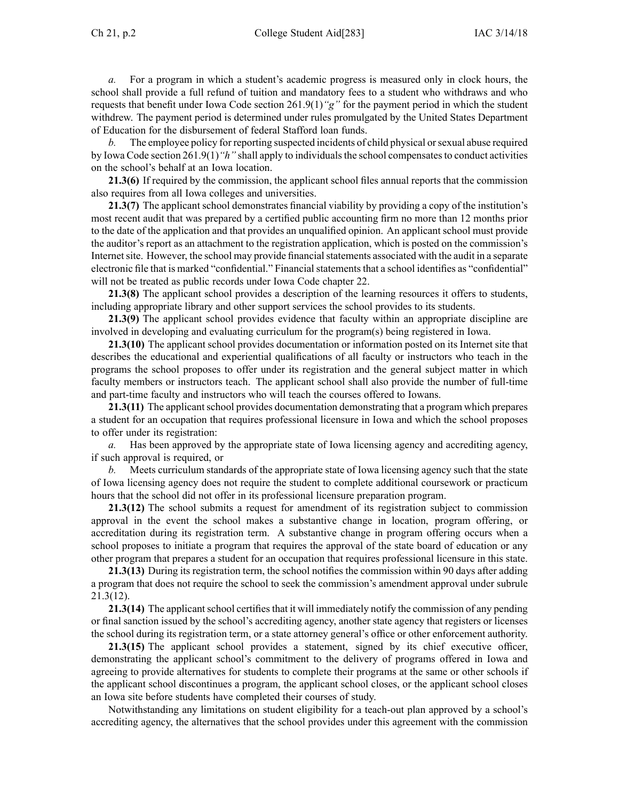*a.* For <sup>a</sup> program in which <sup>a</sup> student's academic progress is measured only in clock hours, the school shall provide <sup>a</sup> full refund of tuition and mandatory fees to <sup>a</sup> student who withdraws and who requests that benefit under Iowa Code section [261.9\(1\)](https://www.legis.iowa.gov/docs/ico/section/261.9.pdf)*"g"* for the paymen<sup>t</sup> period in which the student withdrew. The paymen<sup>t</sup> period is determined under rules promulgated by the United States Department of Education for the disbursement of federal Stafford loan funds.

*b.* The employee policy for reporting suspected incidents of child physical orsexual abuse required by Iowa Code section [261.9\(1\)](https://www.legis.iowa.gov/docs/ico/section/261.9.pdf) "h" shall apply to individuals the school compensates to conduct activities on the school's behalf at an Iowa location.

**21.3(6)** If required by the commission, the applicant school files annual reports that the commission also requires from all Iowa colleges and universities.

**21.3(7)** The applicant school demonstrates financial viability by providing <sup>a</sup> copy of the institution's most recent audit that was prepared by <sup>a</sup> certified public accounting firm no more than 12 months prior to the date of the application and that provides an unqualified opinion. An applicant school must provide the auditor's repor<sup>t</sup> as an attachment to the registration application, which is posted on the commission's Internet site. However, the school may provide financial statements associated with the audit in a separate electronic file that is marked "confidential." Financial statements that a school identifies as "confidential" will not be treated as public records under Iowa Code chapter [22](https://www.legis.iowa.gov/docs/ico/chapter/22.pdf).

**21.3(8)** The applicant school provides <sup>a</sup> description of the learning resources it offers to students, including appropriate library and other suppor<sup>t</sup> services the school provides to its students.

**21.3(9)** The applicant school provides evidence that faculty within an appropriate discipline are involved in developing and evaluating curriculum for the program(s) being registered in Iowa.

**21.3(10)** The applicant school provides documentation or information posted on its Internet site that describes the educational and experiential qualifications of all faculty or instructors who teach in the programs the school proposes to offer under its registration and the general subject matter in which faculty members or instructors teach. The applicant school shall also provide the number of full-time and part-time faculty and instructors who will teach the courses offered to Iowans.

**21.3(11)** The applicant school provides documentation demonstrating that a program which prepares <sup>a</sup> student for an occupation that requires professional licensure in Iowa and which the school proposes to offer under its registration:

*a.* Has been approved by the appropriate state of Iowa licensing agency and accrediting agency, if such approval is required, or

*b.* Meets curriculum standards of the appropriate state of Iowa licensing agency such that the state of Iowa licensing agency does not require the student to complete additional coursework or practicum hours that the school did not offer in its professional licensure preparation program.

**21.3(12)** The school submits <sup>a</sup> reques<sup>t</sup> for amendment of its registration subject to commission approval in the event the school makes <sup>a</sup> substantive change in location, program offering, or accreditation during its registration term. A substantive change in program offering occurs when <sup>a</sup> school proposes to initiate <sup>a</sup> program that requires the approval of the state board of education or any other program that prepares <sup>a</sup> student for an occupation that requires professional licensure in this state.

**21.3(13)** During its registration term, the school notifies the commission within 90 days after adding <sup>a</sup> program that does not require the school to seek the commission's amendment approval under subrule [21.3\(12\)](https://www.legis.iowa.gov/docs/iac/rule/283.21.3.pdf).

**21.3(14)** The applicant school certifies that it will immediately notify the commission of any pending or final sanction issued by the school's accrediting agency, another state agency that registers or licenses the school during its registration term, or <sup>a</sup> state attorney general's office or other enforcement authority.

**21.3(15)** The applicant school provides <sup>a</sup> statement, signed by its chief executive officer, demonstrating the applicant school's commitment to the delivery of programs offered in Iowa and agreeing to provide alternatives for students to complete their programs at the same or other schools if the applicant school discontinues <sup>a</sup> program, the applicant school closes, or the applicant school closes an Iowa site before students have completed their courses of study.

Notwithstanding any limitations on student eligibility for <sup>a</sup> teach-out plan approved by <sup>a</sup> school's accrediting agency, the alternatives that the school provides under this agreemen<sup>t</sup> with the commission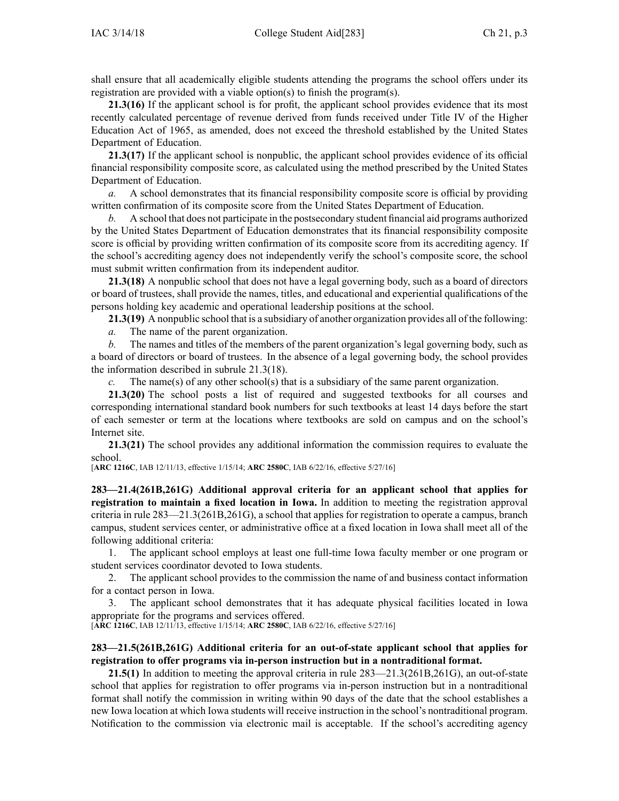shall ensure that all academically eligible students attending the programs the school offers under its registration are provided with <sup>a</sup> viable option(s) to finish the program(s).

**21.3(16)** If the applicant school is for profit, the applicant school provides evidence that its most recently calculated percentage of revenue derived from funds received under Title IV of the Higher Education Act of 1965, as amended, does not exceed the threshold established by the United States Department of Education.

**21.3(17)** If the applicant school is nonpublic, the applicant school provides evidence of its official financial responsibility composite score, as calculated using the method prescribed by the United States Department of Education.

*a.* A school demonstrates that its financial responsibility composite score is official by providing written confirmation of its composite score from the United States Department of Education.

*b.* A school that does not participate in the postsecondary student financial aid programs authorized by the United States Department of Education demonstrates that its financial responsibility composite score is official by providing written confirmation of its composite score from its accrediting agency. If the school's accrediting agency does not independently verify the school's composite score, the school must submit written confirmation from its independent auditor.

**21.3(18)** A nonpublic school that does not have <sup>a</sup> legal governing body, such as <sup>a</sup> board of directors or board of trustees, shall provide the names, titles, and educational and experiential qualifications of the persons holding key academic and operational leadership positions at the school.

**21.3(19)** A nonpublic school that is <sup>a</sup> subsidiary of another organization provides all of the following:

*a.* The name of the paren<sup>t</sup> organization.

*b.* The names and titles of the members of the paren<sup>t</sup> organization's legal governing body, such as <sup>a</sup> board of directors or board of trustees. In the absence of <sup>a</sup> legal governing body, the school provides the information described in subrule [21.3\(18\)](https://www.legis.iowa.gov/docs/iac/rule/283.21.3.pdf).

*c.* The name(s) of any other school(s) that is <sup>a</sup> subsidiary of the same paren<sup>t</sup> organization.

**21.3(20)** The school posts <sup>a</sup> list of required and suggested textbooks for all courses and corresponding international standard book numbers for such textbooks at least 14 days before the start of each semester or term at the locations where textbooks are sold on campus and on the school's Internet site.

**21.3(21)** The school provides any additional information the commission requires to evaluate the school.

[**ARC [1216C](https://www.legis.iowa.gov/docs/aco/arc/1216C.pdf)**, IAB 12/11/13, effective 1/15/14; **ARC [2580C](https://www.legis.iowa.gov/docs/aco/arc/2580C.pdf)**, IAB 6/22/16, effective 5/27/16]

**283—21.4(261B,261G) Additional approval criteria for an applicant school that applies for registration to maintain <sup>a</sup> fixed location in Iowa.** In addition to meeting the registration approval criteria in rule  $283 - 21.3(261B, 261G)$ , a school that applies for registration to operate a campus, branch campus, student services center, or administrative office at <sup>a</sup> fixed location in Iowa shall meet all of the following additional criteria:

1. The applicant school employs at least one full-time Iowa faculty member or one program or student services coordinator devoted to Iowa students.

2. The applicant school provides to the commission the name of and business contact information for <sup>a</sup> contact person in Iowa.

3. The applicant school demonstrates that it has adequate physical facilities located in Iowa appropriate for the programs and services offered.

[**ARC [1216C](https://www.legis.iowa.gov/docs/aco/arc/1216C.pdf)**, IAB 12/11/13, effective 1/15/14; **ARC [2580C](https://www.legis.iowa.gov/docs/aco/arc/2580C.pdf)**, IAB 6/22/16, effective 5/27/16]

#### **283—21.5(261B,261G) Additional criteria for an out-of-state applicant school that applies for registration to offer programs via in-person instruction but in <sup>a</sup> nontraditional format.**

**21.5(1)** In addition to meeting the approval criteria in rule  $283-21.3(261B,261G)$ , an out-of-state school that applies for registration to offer programs via in-person instruction but in <sup>a</sup> nontraditional format shall notify the commission in writing within 90 days of the date that the school establishes <sup>a</sup> new Iowa location at which Iowa students will receive instruction in the school's nontraditional program. Notification to the commission via electronic mail is acceptable. If the school's accrediting agency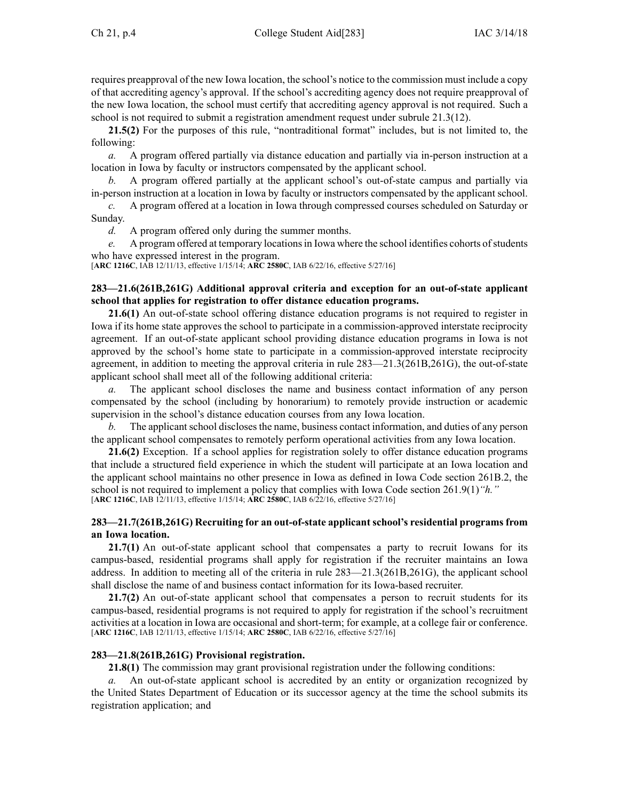requires preapproval of the new Iowa location, the school's notice to the commission must include <sup>a</sup> copy of that accrediting agency's approval. If the school's accrediting agency does not require preapproval of the new Iowa location, the school must certify that accrediting agency approval is not required. Such <sup>a</sup> school is not required to submit <sup>a</sup> registration amendment reques<sup>t</sup> under subrule [21.3\(12\)](https://www.legis.iowa.gov/docs/iac/rule/283.21.3.pdf).

**21.5(2)** For the purposes of this rule, "nontraditional format" includes, but is not limited to, the following:

*a.* A program offered partially via distance education and partially via in-person instruction at <sup>a</sup> location in Iowa by faculty or instructors compensated by the applicant school.

*b.* A program offered partially at the applicant school's out-of-state campus and partially via in-person instruction at <sup>a</sup> location in Iowa by faculty or instructors compensated by the applicant school.

*c.* A program offered at <sup>a</sup> location in Iowa through compressed courses scheduled on Saturday or Sunday.<br> $d$ .

*d.* A program offered only during the summer months.

*e.* A program offered at temporary locations in Iowa where the school identifies cohorts of students who have expressed interest in the program.

[**ARC [1216C](https://www.legis.iowa.gov/docs/aco/arc/1216C.pdf)**, IAB 12/11/13, effective 1/15/14; **ARC [2580C](https://www.legis.iowa.gov/docs/aco/arc/2580C.pdf)**, IAB 6/22/16, effective 5/27/16]

## **283—21.6(261B,261G) Additional approval criteria and exception for an out-of-state applicant school that applies for registration to offer distance education programs.**

**21.6(1)** An out-of-state school offering distance education programs is not required to register in Iowa if its home state approves the school to participate in <sup>a</sup> commission-approved interstate reciprocity agreement. If an out-of-state applicant school providing distance education programs in Iowa is not approved by the school's home state to participate in <sup>a</sup> commission-approved interstate reciprocity agreement, in addition to meeting the approval criteria in rule [283—21.3](https://www.legis.iowa.gov/docs/iac/rule/283.21.3.pdf)(261B,261G), the out-of-state applicant school shall meet all of the following additional criteria:

*a.* The applicant school discloses the name and business contact information of any person compensated by the school (including by honorarium) to remotely provide instruction or academic supervision in the school's distance education courses from any Iowa location.

*b.* The applicant school discloses the name, business contact information, and duties of any person the applicant school compensates to remotely perform operational activities from any Iowa location.

**21.6(2)** Exception. If <sup>a</sup> school applies for registration solely to offer distance education programs that include <sup>a</sup> structured field experience in which the student will participate at an Iowa location and the applicant school maintains no other presence in Iowa as defined in Iowa Code section [261B.2](https://www.legis.iowa.gov/docs/ico/section/261B.2.pdf), the school is not required to implement <sup>a</sup> policy that complies with Iowa Code section [261.9\(1\)](https://www.legis.iowa.gov/docs/ico/section/261.9.pdf)*"h."* [**ARC [1216C](https://www.legis.iowa.gov/docs/aco/arc/1216C.pdf)**, IAB 12/11/13, effective 1/15/14; **ARC [2580C](https://www.legis.iowa.gov/docs/aco/arc/2580C.pdf)**, IAB 6/22/16, effective 5/27/16]

## **283—21.7(261B,261G) Recruiting for an out-of-state applicant school's residential programs from an Iowa location.**

**21.7(1)** An out-of-state applicant school that compensates <sup>a</sup> party to recruit Iowans for its campus-based, residential programs shall apply for registration if the recruiter maintains an Iowa address. In addition to meeting all of the criteria in rule [283—21.3](https://www.legis.iowa.gov/docs/iac/rule/283.21.3.pdf)(261B,261G), the applicant school shall disclose the name of and business contact information for its Iowa-based recruiter.

**21.7(2)** An out-of-state applicant school that compensates <sup>a</sup> person to recruit students for its campus-based, residential programs is not required to apply for registration if the school's recruitment activities at <sup>a</sup> location in Iowa are occasional and short-term; for example, at <sup>a</sup> college fair or conference. [**ARC [1216C](https://www.legis.iowa.gov/docs/aco/arc/1216C.pdf)**, IAB 12/11/13, effective 1/15/14; **ARC [2580C](https://www.legis.iowa.gov/docs/aco/arc/2580C.pdf)**, IAB 6/22/16, effective 5/27/16]

#### **283—21.8(261B,261G) Provisional registration.**

**21.8(1)** The commission may gran<sup>t</sup> provisional registration under the following conditions:

An out-of-state applicant school is accredited by an entity or organization recognized by the United States Department of Education or its successor agency at the time the school submits its registration application; and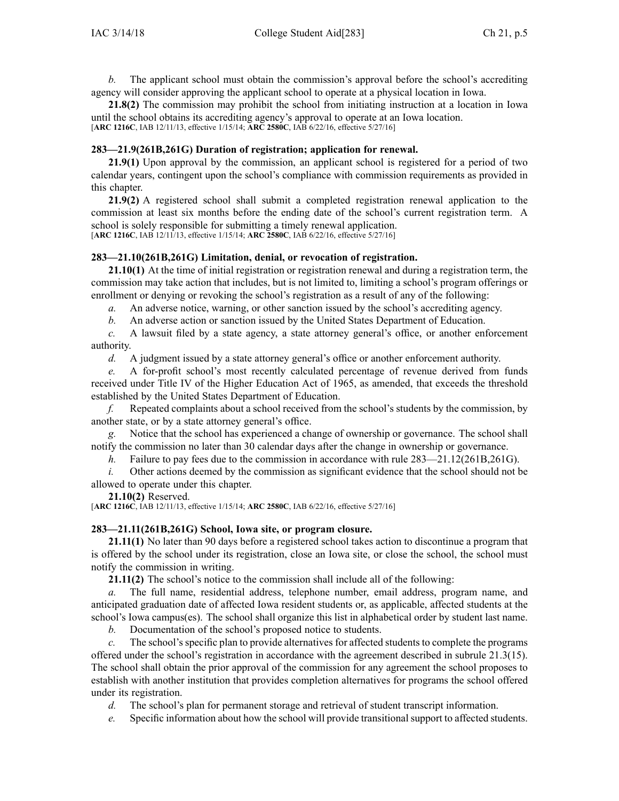*b.* The applicant school must obtain the commission's approval before the school's accrediting agency will consider approving the applicant school to operate at <sup>a</sup> physical location in Iowa.

**21.8(2)** The commission may prohibit the school from initiating instruction at <sup>a</sup> location in Iowa until the school obtains its accrediting agency's approval to operate at an Iowa location. [**ARC [1216C](https://www.legis.iowa.gov/docs/aco/arc/1216C.pdf)**, IAB 12/11/13, effective 1/15/14; **ARC [2580C](https://www.legis.iowa.gov/docs/aco/arc/2580C.pdf)**, IAB 6/22/16, effective 5/27/16]

#### **283—21.9(261B,261G) Duration of registration; application for renewal.**

**21.9(1)** Upon approval by the commission, an applicant school is registered for <sup>a</sup> period of two calendar years, contingent upon the school's compliance with commission requirements as provided in this chapter.

**21.9(2)** A registered school shall submit <sup>a</sup> completed registration renewal application to the commission at least six months before the ending date of the school's current registration term. A school is solely responsible for submitting <sup>a</sup> timely renewal application. [**ARC [1216C](https://www.legis.iowa.gov/docs/aco/arc/1216C.pdf)**, IAB 12/11/13, effective 1/15/14; **ARC [2580C](https://www.legis.iowa.gov/docs/aco/arc/2580C.pdf)**, IAB 6/22/16, effective 5/27/16]

# **283—21.10(261B,261G) Limitation, denial, or revocation of registration.**

**21.10(1)** At the time of initial registration or registration renewal and during <sup>a</sup> registration term, the commission may take action that includes, but is not limited to, limiting <sup>a</sup> school's program offerings or enrollment or denying or revoking the school's registration as <sup>a</sup> result of any of the following:

*a.* An adverse notice, warning, or other sanction issued by the school's accrediting agency.

*b.* An adverse action or sanction issued by the United States Department of Education.

*c.* A lawsuit filed by <sup>a</sup> state agency, <sup>a</sup> state attorney general's office, or another enforcement authority.

*d.* A judgment issued by <sup>a</sup> state attorney general's office or another enforcement authority.

*e.* A for-profit school's most recently calculated percentage of revenue derived from funds received under Title IV of the Higher Education Act of 1965, as amended, that exceeds the threshold established by the United States Department of Education.

*f.* Repeated complaints about <sup>a</sup> school received from the school's students by the commission, by another state, or by <sup>a</sup> state attorney general's office.

Notice that the school has experienced a change of ownership or governance. The school shall notify the commission no later than 30 calendar days after the change in ownership or governance.

*h.* Failure to pay fees due to the commission in accordance with rule [283—21.12](https://www.legis.iowa.gov/docs/iac/rule/283.21.12.pdf)(261B,261G).

*i.* Other actions deemed by the commission as significant evidence that the school should not be allowed to operate under this chapter.

#### **21.10(2)** Reserved.

[**ARC [1216C](https://www.legis.iowa.gov/docs/aco/arc/1216C.pdf)**, IAB 12/11/13, effective 1/15/14; **ARC [2580C](https://www.legis.iowa.gov/docs/aco/arc/2580C.pdf)**, IAB 6/22/16, effective 5/27/16]

#### **283—21.11(261B,261G) School, Iowa site, or program closure.**

**21.11(1)** No later than 90 days before <sup>a</sup> registered school takes action to discontinue <sup>a</sup> program that is offered by the school under its registration, close an Iowa site, or close the school, the school must notify the commission in writing.

**21.11(2)** The school's notice to the commission shall include all of the following:

*a.* The full name, residential address, telephone number, email address, program name, and anticipated graduation date of affected Iowa resident students or, as applicable, affected students at the school's Iowa campus(es). The school shall organize this list in alphabetical order by student last name.

*b.* Documentation of the school's proposed notice to students.

*c.* The school's specific plan to provide alternatives for affected students to complete the programs offered under the school's registration in accordance with the agreemen<sup>t</sup> described in subrule [21.3\(15\)](https://www.legis.iowa.gov/docs/iac/rule/283.21.3.pdf). The school shall obtain the prior approval of the commission for any agreemen<sup>t</sup> the school proposes to establish with another institution that provides completion alternatives for programs the school offered under its registration.

*d.* The school's plan for permanen<sup>t</sup> storage and retrieval of student transcript information.

*e.* Specific information about how the school will provide transitionalsupport to affected students.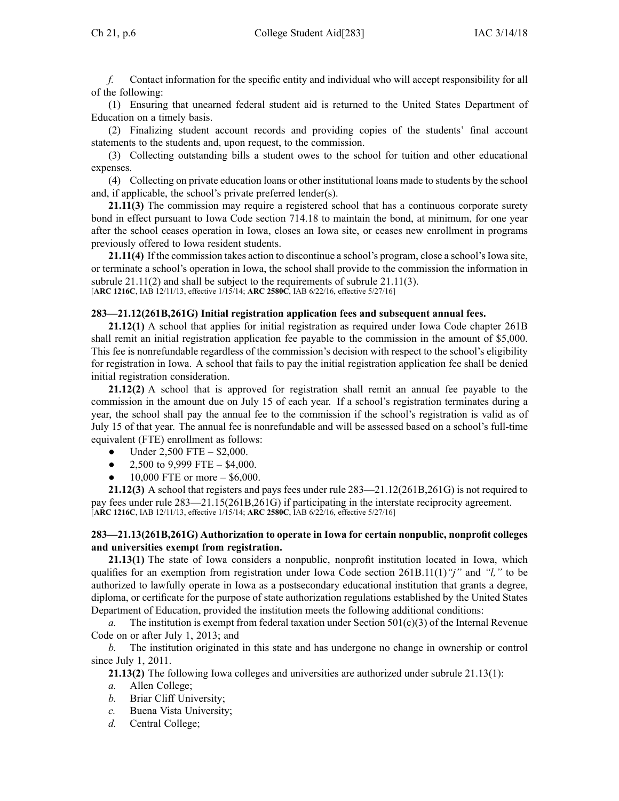*f.* Contact information for the specific entity and individual who will accep<sup>t</sup> responsibility for all of the following:

(1) Ensuring that unearned federal student aid is returned to the United States Department of Education on <sup>a</sup> timely basis.

(2) Finalizing student account records and providing copies of the students' final account statements to the students and, upon request, to the commission.

(3) Collecting outstanding bills <sup>a</sup> student owes to the school for tuition and other educational expenses.

(4) Collecting on private education loans or other institutional loans made to students by the school and, if applicable, the school's private preferred lender(s).

**21.11(3)** The commission may require <sup>a</sup> registered school that has <sup>a</sup> continuous corporate surety bond in effect pursuan<sup>t</sup> to Iowa Code section [714.18](https://www.legis.iowa.gov/docs/ico/section/714.18.pdf) to maintain the bond, at minimum, for one year after the school ceases operation in Iowa, closes an Iowa site, or ceases new enrollment in programs previously offered to Iowa resident students.

**21.11(4)** If the commission takes action to discontinue a school's program, close a school's Iowa site, or terminate <sup>a</sup> school's operation in Iowa, the school shall provide to the commission the information in subrule [21.11\(2\)](https://www.legis.iowa.gov/docs/iac/rule/283.21.11.pdf) and shall be subject to the requirements of subrule [21.11\(3\)](https://www.legis.iowa.gov/docs/iac/rule/283.21.11.pdf). [**ARC [1216C](https://www.legis.iowa.gov/docs/aco/arc/1216C.pdf)**, IAB 12/11/13, effective 1/15/14; **ARC [2580C](https://www.legis.iowa.gov/docs/aco/arc/2580C.pdf)**, IAB 6/22/16, effective 5/27/16]

#### **283—21.12(261B,261G) Initial registration application fees and subsequent annual fees.**

**21.12(1)** A school that applies for initial registration as required under Iowa Code chapter [261B](https://www.legis.iowa.gov/docs/ico/chapter/261B.pdf) shall remit an initial registration application fee payable to the commission in the amount of \$5,000. This fee is nonrefundable regardless of the commission's decision with respec<sup>t</sup> to the school's eligibility for registration in Iowa. A school that fails to pay the initial registration application fee shall be denied initial registration consideration.

**21.12(2)** A school that is approved for registration shall remit an annual fee payable to the commission in the amount due on July 15 of each year. If <sup>a</sup> school's registration terminates during <sup>a</sup> year, the school shall pay the annual fee to the commission if the school's registration is valid as of July 15 of that year. The annual fee is nonrefundable and will be assessed based on <sup>a</sup> school's full-time equivalent (FTE) enrollment as follows:

- ●Under 2,500 FTE – \$2,000.
- ●2,500 to 9,999 FTE – \$4,000.
- $\bullet$ 10,000 FTE or more – \$6,000.

**21.12(3)** A school that registers and pays fees under rule [283—21.12](https://www.legis.iowa.gov/docs/iac/rule/283.21.12.pdf)(261B,261G) is not required to pay fees under rule [283—21.15\(](https://www.legis.iowa.gov/docs/iac/rule/283.21.15.pdf)261B,261G) if participating in the interstate reciprocity agreement. [**ARC [1216C](https://www.legis.iowa.gov/docs/aco/arc/1216C.pdf)**, IAB 12/11/13, effective 1/15/14; **ARC [2580C](https://www.legis.iowa.gov/docs/aco/arc/2580C.pdf)**, IAB 6/22/16, effective 5/27/16]

## **283—21.13(261B,261G) Authorization to operate in Iowa for certain nonpublic, nonprofit colleges and universities exempt from registration.**

**21.13(1)** The state of Iowa considers <sup>a</sup> nonpublic, nonprofit institution located in Iowa, which qualifies for an exemption from registration under Iowa Code section [261B.11\(1\)](https://www.legis.iowa.gov/docs/ico/section/261B.11.pdf)*"j"* and *"l,"* to be authorized to lawfully operate in Iowa as <sup>a</sup> postsecondary educational institution that grants <sup>a</sup> degree, diploma, or certificate for the purpose of state authorization regulations established by the United States Department of Education, provided the institution meets the following additional conditions:

*a.* The institution is exempt from federal taxation under Section  $501(c)(3)$  of the Internal Revenue Code on or after July 1, 2013; and

*b.* The institution originated in this state and has undergone no change in ownership or control since July 1, 2011.

**21.13(2)** The following Iowa colleges and universities are authorized under subrule [21.13\(1\)](https://www.legis.iowa.gov/docs/iac/rule/283.21.13.pdf):

- *a.* Allen College;
- *b.* Briar Cliff University;
- *c.* Buena Vista University;
- *d.* Central College;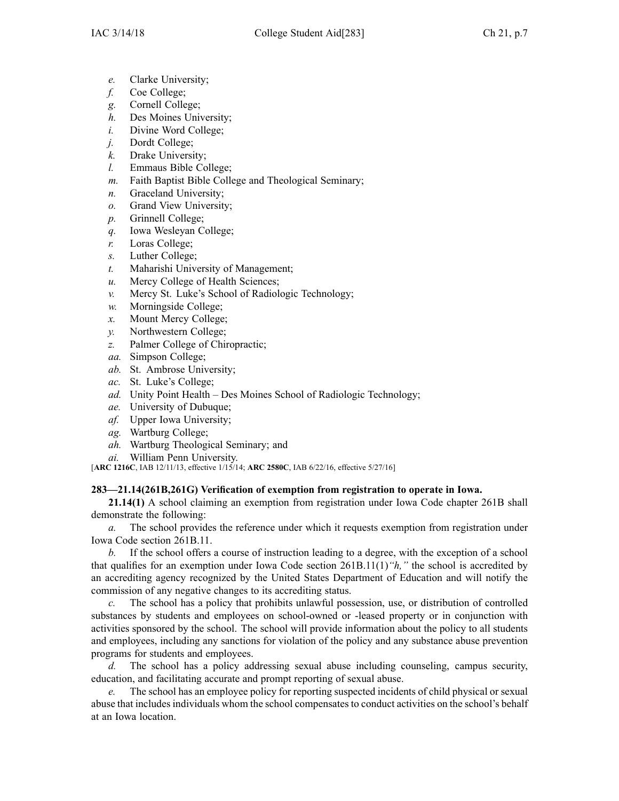- *e.* Clarke University;
- *f.* Coe College;
- *g.* Cornell College;
- *h.* Des Moines University;
- *i.* Divine Word College;
- *j.* Dordt College;
- *k.* Drake University;
- *l.* Emmaus Bible College;
- *m.* Faith Baptist Bible College and Theological Seminary;
- *n.* Graceland University;
- *o.* Grand View University;
- *p.* Grinnell College;
- *q.* Iowa Wesleyan College;
- *r.* Loras College;
- *s.* Luther College;
- *t.* Maharishi University of Management;
- *u.* Mercy College of Health Sciences;
- *v.* Mercy St. Luke's School of Radiologic Technology;
- *w.* Morningside College;
- *x.* Mount Mercy College;
- *y.* Northwestern College;
- *z.* Palmer College of Chiropractic;
- *aa.* Simpson College;
- *ab.* St. Ambrose University;
- *ac.* St. Luke's College;
- *ad.* Unity Point Health Des Moines School of Radiologic Technology;
- *ae.* University of Dubuque;
- *af.* Upper Iowa University;
- *ag.* Wartburg College;
- *ah.* Wartburg Theological Seminary; and
- *ai.* William Penn University.

[**ARC [1216C](https://www.legis.iowa.gov/docs/aco/arc/1216C.pdf)**, IAB 12/11/13, effective 1/15/14; **ARC [2580C](https://www.legis.iowa.gov/docs/aco/arc/2580C.pdf)**, IAB 6/22/16, effective 5/27/16]

## **283—21.14(261B,261G) Verification of exemption from registration to operate in Iowa.**

**21.14(1)** A school claiming an exemption from registration under Iowa Code chapter [261B](https://www.legis.iowa.gov/docs/ico/chapter/261B.pdf) shall demonstrate the following:

*a.* The school provides the reference under which it requests exemption from registration under Iowa Code section [261B.11](https://www.legis.iowa.gov/docs/ico/section/261B.11.pdf).

*b.* If the school offers <sup>a</sup> course of instruction leading to <sup>a</sup> degree, with the exception of <sup>a</sup> school that qualifies for an exemption under Iowa Code section [261B.11\(1\)](https://www.legis.iowa.gov/docs/ico/section/261B.11.pdf)*"h,"* the school is accredited by an accrediting agency recognized by the United States Department of Education and will notify the commission of any negative changes to its accrediting status.

*c.* The school has <sup>a</sup> policy that prohibits unlawful possession, use, or distribution of controlled substances by students and employees on school-owned or -leased property or in conjunction with activities sponsored by the school. The school will provide information about the policy to all students and employees, including any sanctions for violation of the policy and any substance abuse prevention programs for students and employees.

*d.* The school has <sup>a</sup> policy addressing sexual abuse including counseling, campus security, education, and facilitating accurate and promp<sup>t</sup> reporting of sexual abuse.

The school has an employee policy for reporting suspected incidents of child physical or sexual abuse that includes individuals whom the school compensates to conduct activities on the school's behalf at an Iowa location.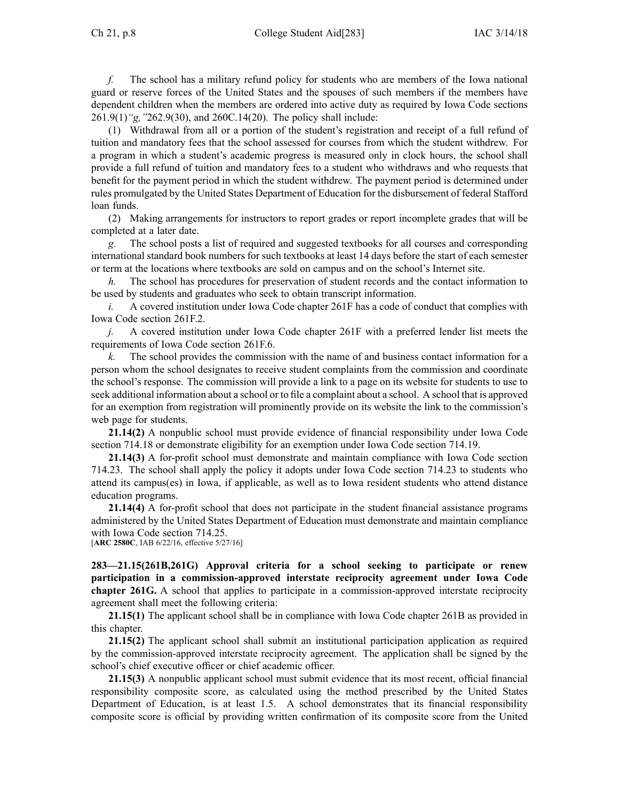*f.* The school has <sup>a</sup> military refund policy for students who are members of the Iowa national guard or reserve forces of the United States and the spouses of such members if the members have dependent children when the members are ordered into active duty as required by Iowa Code sections [261.9\(1\)](https://www.legis.iowa.gov/docs/ico/section/261.9.pdf)*"g,"*[262.9\(30\)](https://www.legis.iowa.gov/docs/ico/section/262.9.pdf), and [260C.14\(20\)](https://www.legis.iowa.gov/docs/ico/section/260C.14.pdf). The policy shall include:

(1) Withdrawal from all or <sup>a</sup> portion of the student's registration and receipt of <sup>a</sup> full refund of tuition and mandatory fees that the school assessed for courses from which the student withdrew. For <sup>a</sup> program in which <sup>a</sup> student's academic progress is measured only in clock hours, the school shall provide <sup>a</sup> full refund of tuition and mandatory fees to <sup>a</sup> student who withdraws and who requests that benefit for the paymen<sup>t</sup> period in which the student withdrew. The paymen<sup>t</sup> period is determined under rules promulgated by the United States Department of Education for the disbursement of federal Stafford loan funds.

(2) Making arrangements for instructors to repor<sup>t</sup> grades or repor<sup>t</sup> incomplete grades that will be completed at <sup>a</sup> later date.

*g.* The school posts <sup>a</sup> list of required and suggested textbooks for all courses and corresponding international standard book numbers for such textbooks at least 14 days before the start of each semester or term at the locations where textbooks are sold on campus and on the school's Internet site.

*h.* The school has procedures for preservation of student records and the contact information to be used by students and graduates who seek to obtain transcript information.

*i.* A covered institution under Iowa Code chapter [261F](https://www.legis.iowa.gov/docs/ico/chapter/261F.pdf) has a code of conduct that complies with Iowa Code section [261F.2](https://www.legis.iowa.gov/docs/ico/section/261F.2.pdf).

*j.* A covered institution under Iowa Code chapter [261F](https://www.legis.iowa.gov/docs/ico/chapter/261F.pdf) with <sup>a</sup> preferred lender list meets the requirements of Iowa Code section [261F.6](https://www.legis.iowa.gov/docs/ico/section/261F.6.pdf).

*k.* The school provides the commission with the name of and business contact information for <sup>a</sup> person whom the school designates to receive student complaints from the commission and coordinate the school's response. The commission will provide <sup>a</sup> link to <sup>a</sup> page on its website for students to use to seek additional information about <sup>a</sup> school or to file <sup>a</sup> complaint about <sup>a</sup> school. A school that is approved for an exemption from registration will prominently provide on its website the link to the commission's web page for students.

**21.14(2)** A nonpublic school must provide evidence of financial responsibility under Iowa Code section [714.18](https://www.legis.iowa.gov/docs/ico/section/714.18.pdf) or demonstrate eligibility for an exemption under Iowa Code section [714.19](https://www.legis.iowa.gov/docs/ico/section/714.19.pdf).

**21.14(3)** A for-profit school must demonstrate and maintain compliance with Iowa Code section [714.23](https://www.legis.iowa.gov/docs/ico/section/714.23.pdf). The school shall apply the policy it adopts under Iowa Code section [714.23](https://www.legis.iowa.gov/docs/ico/section/714.23.pdf) to students who attend its campus(es) in Iowa, if applicable, as well as to Iowa resident students who attend distance education programs.

**21.14(4)** A for-profit school that does not participate in the student financial assistance programs administered by the United States Department of Education must demonstrate and maintain compliance with Iowa Code section [714.25](https://www.legis.iowa.gov/docs/ico/section/714.25.pdf).

[**ARC [2580C](https://www.legis.iowa.gov/docs/aco/arc/2580C.pdf)**, IAB 6/22/16, effective 5/27/16]

**283—21.15(261B,261G) Approval criteria for <sup>a</sup> school seeking to participate or renew participation in <sup>a</sup> commission-approved interstate reciprocity agreement under Iowa Code chapter [261G](https://www.legis.iowa.gov/docs/ico/chapter/261G.pdf).** A school that applies to participate in <sup>a</sup> commission-approved interstate reciprocity agreemen<sup>t</sup> shall meet the following criteria:

**21.15(1)** The applicant school shall be in compliance with Iowa Code chapter [261B](https://www.legis.iowa.gov/docs/ico/chapter/261B.pdf) as provided in this chapter.

**21.15(2)** The applicant school shall submit an institutional participation application as required by the commission-approved interstate reciprocity agreement. The application shall be signed by the school's chief executive officer or chief academic officer.

**21.15(3)** A nonpublic applicant school must submit evidence that its most recent, official financial responsibility composite score, as calculated using the method prescribed by the United States Department of Education, is at least 1.5. A school demonstrates that its financial responsibility composite score is official by providing written confirmation of its composite score from the United